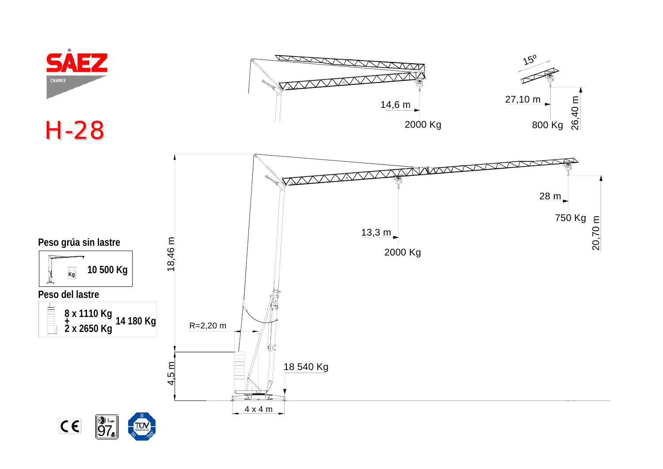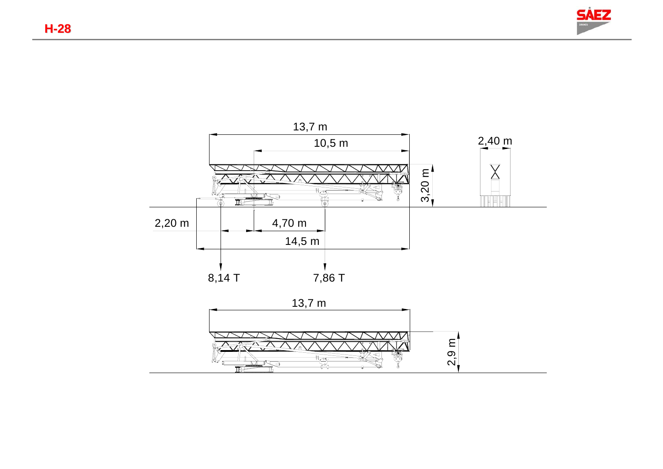



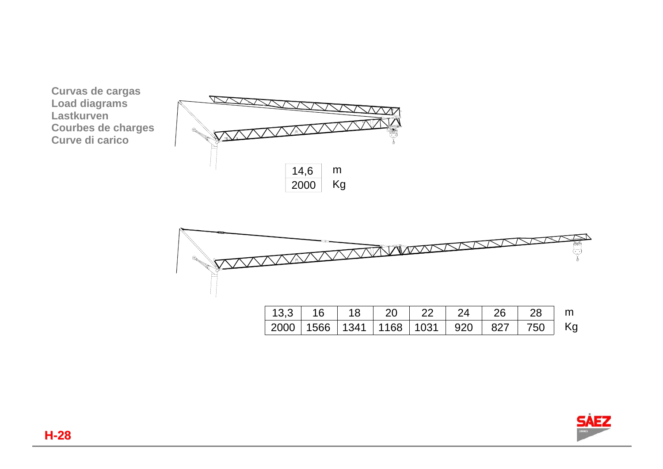



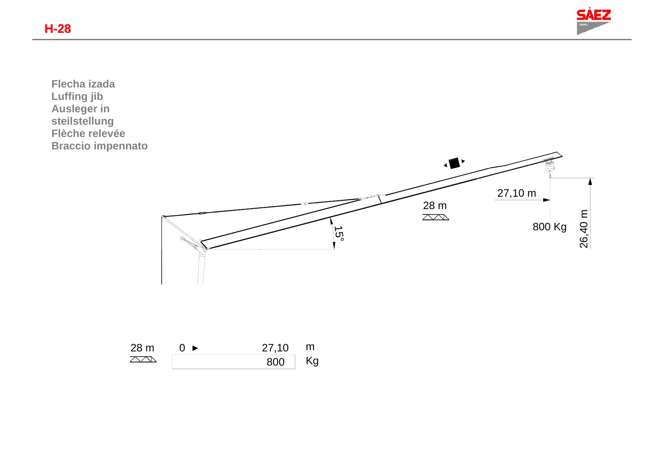

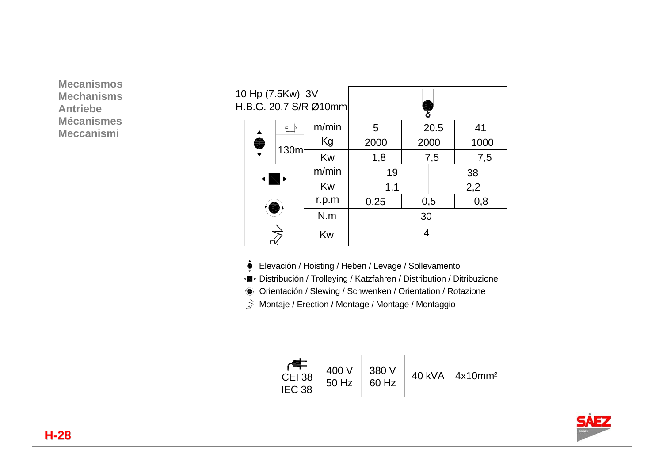**Mecanismos Mechanisms Antriebe Mécanismes Meccanismi** 

| 10 Hp (7.5Kw) 3V<br>H.B.G. 20.7 S/R Ø10mm |    |      |       |      |      |            |      |  |
|-------------------------------------------|----|------|-------|------|------|------------|------|--|
|                                           | 6  |      | m/min | 5    | 20.5 |            | 41   |  |
|                                           |    | 130m | Kg    | 2000 | 2000 |            | 1000 |  |
|                                           |    |      | Kw    | 1,8  | 7,5  |            | 7,5  |  |
|                                           |    |      | m/min | 19   |      |            | 38   |  |
|                                           |    |      | Kw    | 1,1  |      | 2,2        |      |  |
|                                           |    |      | r.p.m | 0,25 |      | 0,8<br>0,5 |      |  |
|                                           |    |      | N.m   | 30   |      |            |      |  |
|                                           | Kw |      |       | 4    |      |            |      |  |

Elevación / Hoisting / Heben / Levage / Sollevamento

Distribución / Trolleying / Katzfahren / Distribution / Ditribuzione

Orientación / Slewing / Schwenken / Orientation / Rotazione

 $\vec{p}$  Montaje / Erection / Montage / Montage / Montaggio

| <b>CEI 38</b><br>IEC <sub>38</sub> | 400 V<br>50 Hz | 380 V<br>60 Hz | $40$ kVA | 4x10mm <sup>2</sup> |
|------------------------------------|----------------|----------------|----------|---------------------|
|------------------------------------|----------------|----------------|----------|---------------------|

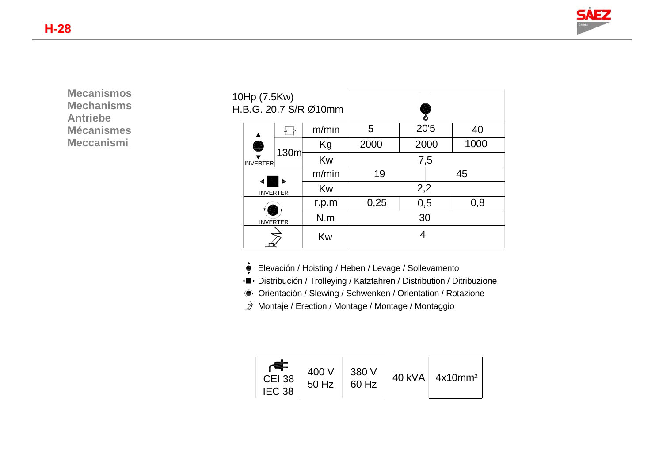

**Mecanismos Mechanisms Antriebe Mécanismes Meccanismi** 

| 10Hp (7.5Kw)<br>H.B.G. 20.7 S/R Ø10mm |                                       |      |       |      |      |  |      |
|---------------------------------------|---------------------------------------|------|-------|------|------|--|------|
|                                       |                                       |      | m/min | 5    | 20'5 |  | 40   |
|                                       | S<br><b>INVERTER</b>                  | 130m | Kg    | 2000 | 2000 |  | 1000 |
|                                       |                                       |      | Kw    | 7,5  |      |  |      |
|                                       |                                       |      | m/min | 19   |      |  | 45   |
|                                       | <b>INVERTER</b>                       |      | Kw    | 2,2  |      |  |      |
|                                       | r.p.m<br>N.m<br><b>INVERTER</b><br>Kw |      |       | 0,25 | 0,5  |  | 0,8  |
|                                       |                                       |      |       | 30   |      |  |      |
|                                       |                                       |      | 4     |      |      |  |      |

- Elevación / Hoisting / Heben / Levage / Sollevamento
- Distribución / Trolleying / Katzfahren / Distribution / Ditribuzione
- Orientación / Slewing / Schwenken / Orientation / Rotazione
- $\vec{p}$  Montaje / Erection / Montage / Montage / Montaggio

| <b>CEI 38</b><br>IEC <sub>38</sub> | 400 V<br>50 Hz | 380 V<br>60 Hz | 40 kVA | 4x10mm <sup>2</sup> |
|------------------------------------|----------------|----------------|--------|---------------------|
|------------------------------------|----------------|----------------|--------|---------------------|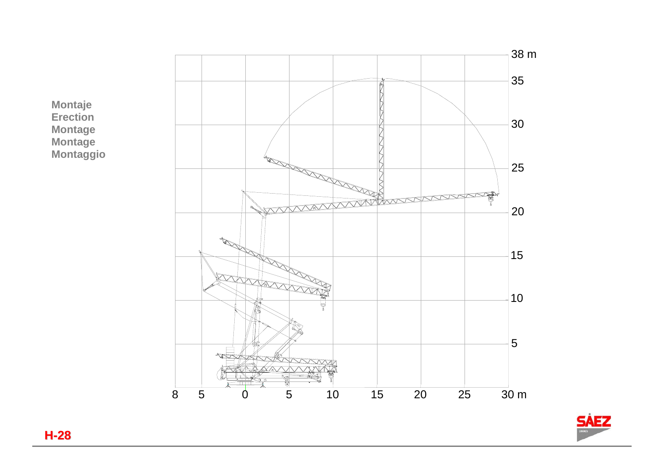





**H-28**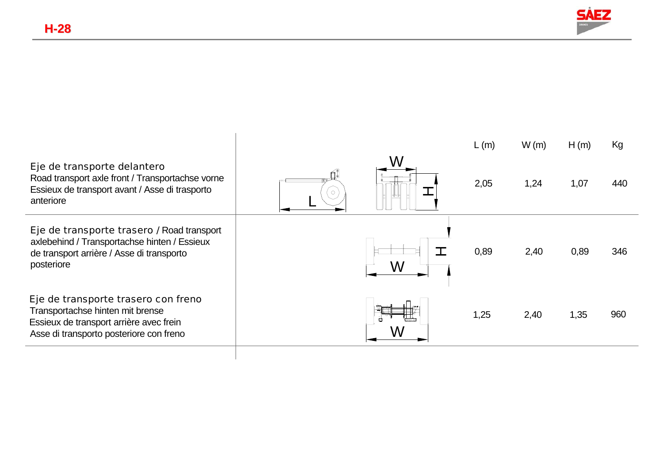

|                                                                                                                                                               |         | L(m) | W(m) | H(m) | Kg  |
|---------------------------------------------------------------------------------------------------------------------------------------------------------------|---------|------|------|------|-----|
| Eje de transporte delantero<br>Road transport axle front / Transportachse vorne<br>Essieux de transport avant / Asse di trasporto<br>anteriore                | $\circ$ | 2,05 | 1,24 | 1,07 | 440 |
| Eje de transporte trasero / Road transport<br>axlebehind / Transportachse hinten / Essieux<br>de transport arrière / Asse di transporto<br>posteriore         |         | 0,89 | 2,40 | 0,89 | 346 |
| Eje de transporte trasero con freno<br>Transportachse hinten mit brense<br>Essieux de transport arrière avec frein<br>Asse di transporto posteriore con freno |         | 1,25 | 2,40 | 1,35 | 960 |